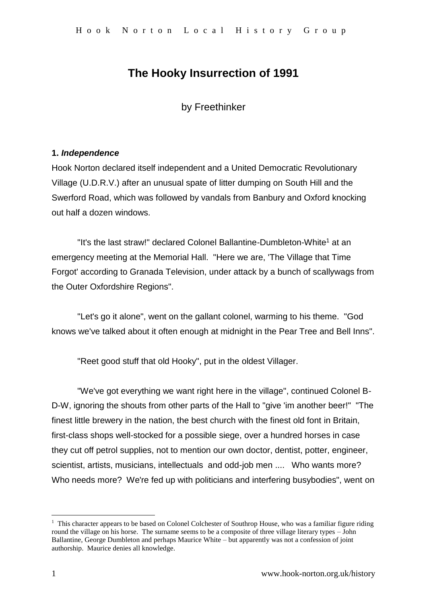# **The Hooky Insurrection of 1991**

by Freethinker

### **1.** *Independence*

Hook Norton declared itself independent and a United Democratic Revolutionary Village (U.D.R.V.) after an unusual spate of litter dumping on South Hill and the Swerford Road, which was followed by vandals from Banbury and Oxford knocking out half a dozen windows.

"It's the last straw!" declared Colonel Ballantine-Dumbleton-White<sup>1</sup> at an emergency meeting at the Memorial Hall. "Here we are, 'The Village that Time Forgot' according to Granada Television, under attack by a bunch of scallywags from the Outer Oxfordshire Regions".

"Let's go it alone", went on the gallant colonel, warming to his theme. "God knows we've talked about it often enough at midnight in the Pear Tree and Bell Inns".

"Reet good stuff that old Hooky", put in the oldest Villager.

"We've got everything we want right here in the village", continued Colonel B-D-W, ignoring the shouts from other parts of the Hall to "give 'im another beer!" "The finest little brewery in the nation, the best church with the finest old font in Britain, first-class shops well-stocked for a possible siege, over a hundred horses in case they cut off petrol supplies, not to mention our own doctor, dentist, potter, engineer, scientist, artists, musicians, intellectuals and odd-job men .... Who wants more? Who needs more? We're fed up with politicians and interfering busybodies", went on

1

<sup>&</sup>lt;sup>1</sup> This character appears to be based on Colonel Colchester of Southrop House, who was a familiar figure riding round the village on his horse. The surname seems to be a composite of three village literary types – John Ballantine, George Dumbleton and perhaps Maurice White – but apparently was not a confession of joint authorship. Maurice denies all knowledge.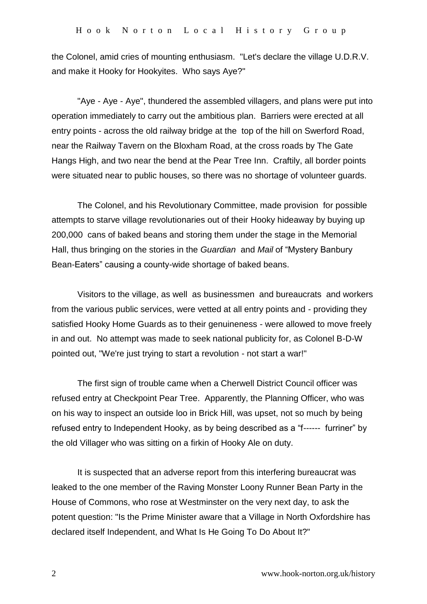the Colonel, amid cries of mounting enthusiasm. "Let's declare the village U.D.R.V. and make it Hooky for Hookyites. Who says Aye?"

"Aye - Aye - Aye", thundered the assembled villagers, and plans were put into operation immediately to carry out the ambitious plan. Barriers were erected at all entry points - across the old railway bridge at the top of the hill on Swerford Road, near the Railway Tavern on the Bloxham Road, at the cross roads by The Gate Hangs High, and two near the bend at the Pear Tree Inn. Craftily, all border points were situated near to public houses, so there was no shortage of volunteer guards.

The Colonel, and his Revolutionary Committee, made provision for possible attempts to starve village revolutionaries out of their Hooky hideaway by buying up 200,000 cans of baked beans and storing them under the stage in the Memorial Hall, thus bringing on the stories in the *Guardian* and *Mail* of "Mystery Banbury Bean-Eaters" causing a county-wide shortage of baked beans.

Visitors to the village, as well as businessmen and bureaucrats and workers from the various public services, were vetted at all entry points and - providing they satisfied Hooky Home Guards as to their genuineness - were allowed to move freely in and out. No attempt was made to seek national publicity for, as Colonel B-D-W pointed out, "We're just trying to start a revolution - not start a war!"

The first sign of trouble came when a Cherwell District Council officer was refused entry at Checkpoint Pear Tree. Apparently, the Planning Officer, who was on his way to inspect an outside loo in Brick Hill, was upset, not so much by being refused entry to Independent Hooky, as by being described as a "f------ furriner" by the old Villager who was sitting on a firkin of Hooky Ale on duty.

It is suspected that an adverse report from this interfering bureaucrat was leaked to the one member of the Raving Monster Loony Runner Bean Party in the House of Commons, who rose at Westminster on the very next day, to ask the potent question: "Is the Prime Minister aware that a Village in North Oxfordshire has declared itself Independent, and What Is He Going To Do About It?"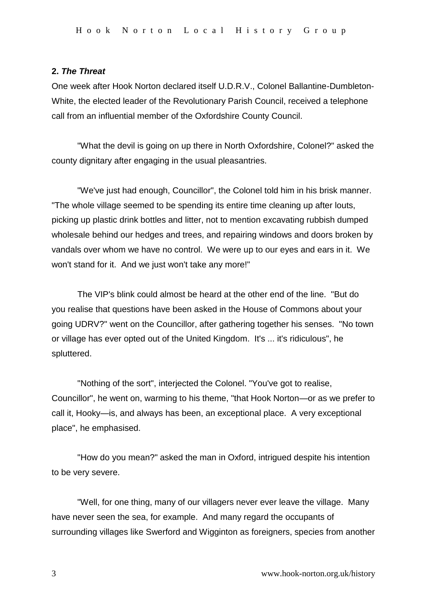#### **2.** *The Threat*

One week after Hook Norton declared itself U.D.R.V., Colonel Ballantine-Dumbleton-White, the elected leader of the Revolutionary Parish Council, received a telephone call from an influential member of the Oxfordshire County Council.

"What the devil is going on up there in North Oxfordshire, Colonel?" asked the county dignitary after engaging in the usual pleasantries.

"We've just had enough, Councillor", the Colonel told him in his brisk manner. "The whole village seemed to be spending its entire time cleaning up after louts, picking up plastic drink bottles and litter, not to mention excavating rubbish dumped wholesale behind our hedges and trees, and repairing windows and doors broken by vandals over whom we have no control. We were up to our eyes and ears in it. We won't stand for it. And we just won't take any more!"

The VIP's blink could almost be heard at the other end of the line. "But do you realise that questions have been asked in the House of Commons about your going UDRV?" went on the Councillor, after gathering together his senses. "No town or village has ever opted out of the United Kingdom. It's ... it's ridiculous", he spluttered.

"Nothing of the sort", interjected the Colonel. "You've got to realise, Councillor", he went on, warming to his theme, "that Hook Norton—or as we prefer to call it, Hooky—is, and always has been, an exceptional place. A very exceptional place", he emphasised.

"How do you mean?" asked the man in Oxford, intrigued despite his intention to be very severe.

"Well, for one thing, many of our villagers never ever leave the village. Many have never seen the sea, for example. And many regard the occupants of surrounding villages like Swerford and Wigginton as foreigners, species from another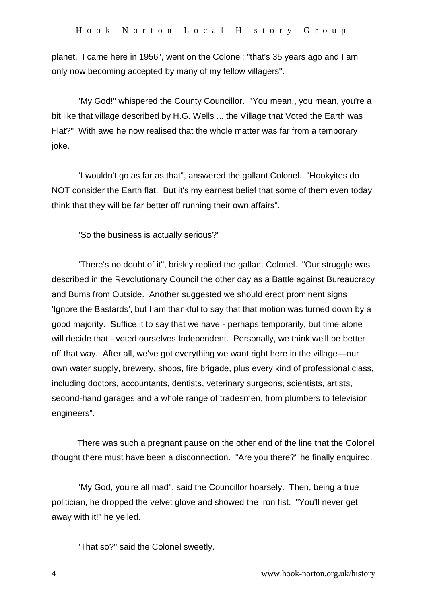planet. I came here in 1956", went on the Colonel; "that's 35 years ago and I am only now becoming accepted by many of my fellow villagers".

"My God!" whispered the County Councillor. "You mean., you mean, you're a bit like that village described by H.G. Wells ... the Village that Voted the Earth was Flat?" With awe he now realised that the whole matter was far from a temporary joke.

"I wouldn't go as far as that", answered the gallant Colonel. "Hookyites do NOT consider the Earth flat. But it's my earnest belief that some of them even today think that they will be far better off running their own affairs".

"So the business is actually serious?"

"There's no doubt of it", briskly replied the gallant Colonel. "Our struggle was described in the Revolutionary Council the other day as a Battle against Bureaucracy and Bums from Outside. Another suggested we should erect prominent signs 'Ignore the Bastards', but I am thankful to say that that motion was turned down by a good majority. Suffice it to say that we have - perhaps temporarily, but time alone will decide that - voted ourselves Independent. Personally, we think we'll be better off that way. After all, we've got everything we want right here in the village—our own water supply, brewery, shops, fire brigade, plus every kind of professional class, including doctors, accountants, dentists, veterinary surgeons, scientists, artists, second-hand garages and a whole range of tradesmen, from plumbers to television engineers".

There was such a pregnant pause on the other end of the line that the Colonel thought there must have been a disconnection. "Are you there?" he finally enquired.

"My God, you're all mad", said the Councillor hoarsely. Then, being a true politician, he dropped the velvet glove and showed the iron fist. "You'll never get away with it!" he yelled.

"That so?" said the Colonel sweetly.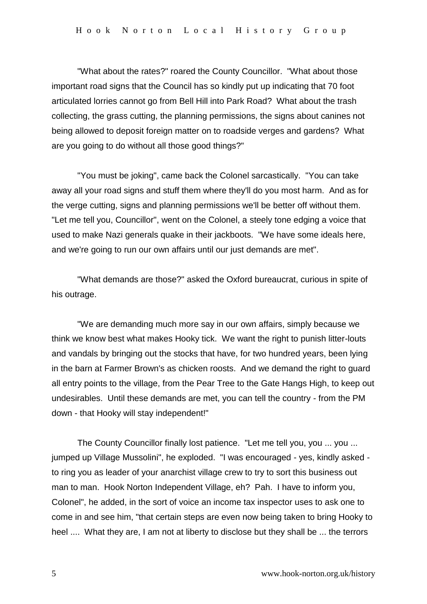"What about the rates?" roared the County Councillor. "What about those important road signs that the Council has so kindly put up indicating that 70 foot articulated lorries cannot go from Bell Hill into Park Road? What about the trash collecting, the grass cutting, the planning permissions, the signs about canines not being allowed to deposit foreign matter on to roadside verges and gardens? What are you going to do without all those good things?"

"You must be joking", came back the Colonel sarcastically. "You can take away all your road signs and stuff them where they'll do you most harm. And as for the verge cutting, signs and planning permissions we'll be better off without them. "Let me tell you, Councillor", went on the Colonel, a steely tone edging a voice that used to make Nazi generals quake in their jackboots. "We have some ideals here, and we're going to run our own affairs until our just demands are met".

"What demands are those?" asked the Oxford bureaucrat, curious in spite of his outrage.

"We are demanding much more say in our own affairs, simply because we think we know best what makes Hooky tick. We want the right to punish litter-louts and vandals by bringing out the stocks that have, for two hundred years, been lying in the barn at Farmer Brown's as chicken roosts. And we demand the right to guard all entry points to the village, from the Pear Tree to the Gate Hangs High, to keep out undesirables. Until these demands are met, you can tell the country - from the PM down - that Hooky will stay independent!"

The County Councillor finally lost patience. "Let me tell you, you ... you ... jumped up Village Mussolini", he exploded. "I was encouraged - yes, kindly asked to ring you as leader of your anarchist village crew to try to sort this business out man to man. Hook Norton Independent Village, eh? Pah. I have to inform you, Colonel", he added, in the sort of voice an income tax inspector uses to ask one to come in and see him, "that certain steps are even now being taken to bring Hooky to heel .... What they are, I am not at liberty to disclose but they shall be ... the terrors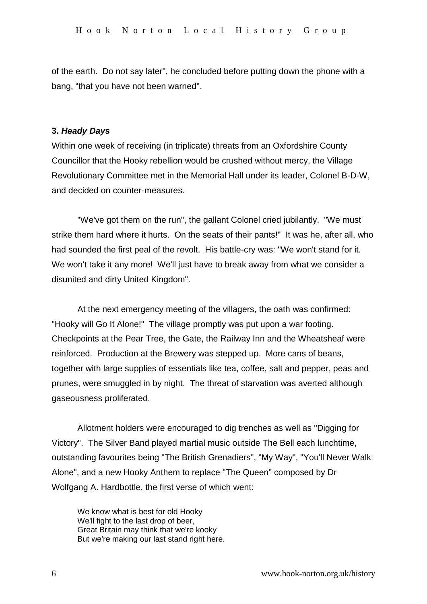of the earth. Do not say later", he concluded before putting down the phone with a bang, "that you have not been warned".

#### **3.** *Heady Days*

Within one week of receiving (in triplicate) threats from an Oxfordshire County Councillor that the Hooky rebellion would be crushed without mercy, the Village Revolutionary Committee met in the Memorial Hall under its leader, Colonel B-D-W, and decided on counter-measures.

"We've got them on the run", the gallant Colonel cried jubilantly. "We must strike them hard where it hurts. On the seats of their pants!" It was he, after all, who had sounded the first peal of the revolt. His battle-cry was: "We won't stand for it. We won't take it any more! We'll just have to break away from what we consider a disunited and dirty United Kingdom".

At the next emergency meeting of the villagers, the oath was confirmed: "Hooky will Go It Alone!" The village promptly was put upon a war footing. Checkpoints at the Pear Tree, the Gate, the Railway Inn and the Wheatsheaf were reinforced. Production at the Brewery was stepped up. More cans of beans, together with large supplies of essentials like tea, coffee, salt and pepper, peas and prunes, were smuggled in by night. The threat of starvation was averted although gaseousness proliferated.

Allotment holders were encouraged to dig trenches as well as "Digging for Victory". The Silver Band played martial music outside The Bell each lunchtime, outstanding favourites being "The British Grenadiers", "My Way", "You'll Never Walk Alone", and a new Hooky Anthem to replace "The Queen" composed by Dr Wolfgang A. Hardbottle, the first verse of which went:

We know what is best for old Hooky We'll fight to the last drop of beer, Great Britain may think that we're kooky But we're making our last stand right here.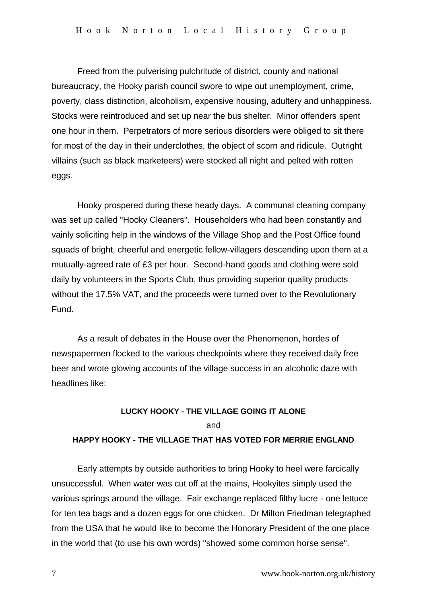Freed from the pulverising pulchritude of district, county and national bureaucracy, the Hooky parish council swore to wipe out unemployment, crime, poverty, class distinction, alcoholism, expensive housing, adultery and unhappiness. Stocks were reintroduced and set up near the bus shelter. Minor offenders spent one hour in them. Perpetrators of more serious disorders were obliged to sit there for most of the day in their underclothes, the object of scorn and ridicule. Outright villains (such as black marketeers) were stocked all night and pelted with rotten eggs.

Hooky prospered during these heady days. A communal cleaning company was set up called "Hooky Cleaners". Householders who had been constantly and vainly soliciting help in the windows of the Village Shop and the Post Office found squads of bright, cheerful and energetic fellow-villagers descending upon them at a mutually-agreed rate of £3 per hour. Second-hand goods and clothing were sold daily by volunteers in the Sports Club, thus providing superior quality products without the 17.5% VAT, and the proceeds were turned over to the Revolutionary Fund.

As a result of debates in the House over the Phenomenon, hordes of newspapermen flocked to the various checkpoints where they received daily free beer and wrote glowing accounts of the village success in an alcoholic daze with headlines like:

## **LUCKY HOOKY - THE VILLAGE GOING IT ALONE** and **HAPPY HOOKY - THE VILLAGE THAT HAS VOTED FOR MERRIE ENGLAND**

Early attempts by outside authorities to bring Hooky to heel were farcically unsuccessful. When water was cut off at the mains, Hookyites simply used the various springs around the village. Fair exchange replaced filthy lucre - one lettuce for ten tea bags and a dozen eggs for one chicken. Dr Milton Friedman telegraphed from the USA that he would like to become the Honorary President of the one place in the world that (to use his own words) "showed some common horse sense".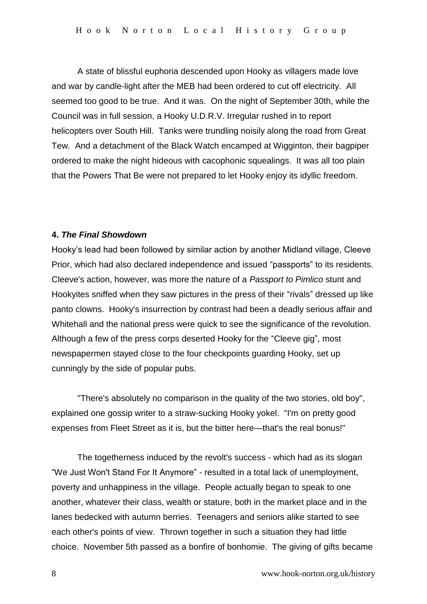A state of blissful euphoria descended upon Hooky as villagers made love and war by candle-light after the MEB had been ordered to cut off electricity. All seemed too good to be true. And it was. On the night of September 30th, while the Council was in full session, a Hooky U.D.R.V. Irregular rushed in to report helicopters over South Hill. Tanks were trundling noisily along the road from Great Tew. And a detachment of the Black Watch encamped at Wigginton, their bagpiper ordered to make the night hideous with cacophonic squealings. It was all too plain that the Powers That Be were not prepared to let Hooky enjoy its idyllic freedom.

#### **4.** *The Final Showdown*

Hooky's lead had been followed by similar action by another Midland village, Cleeve Prior, which had also declared independence and issued "passports" to its residents. Cleeve's action, however, was more the nature of a *Passport to Pimlico* stunt and Hookyites sniffed when they saw pictures in the press of their "rivals" dressed up like panto clowns. Hooky's insurrection by contrast had been a deadly serious affair and Whitehall and the national press were quick to see the significance of the revolution. Although a few of the press corps deserted Hooky for the "Cleeve gig", most newspapermen stayed close to the four checkpoints guarding Hooky, set up cunningly by the side of popular pubs.

"There's absolutely no comparison in the quality of the two stories, old boy", explained one gossip writer to a straw-sucking Hooky yokel. "I'm on pretty good expenses from Fleet Street as it is, but the bitter here—that's the real bonus!"

The togetherness induced by the revolt's success - which had as its slogan "We Just Won't Stand For It Anymore" - resulted in a total lack of unemployment, poverty and unhappiness in the village. People actually began to speak to one another, whatever their class, wealth or stature, both in the market place and in the lanes bedecked with autumn berries. Teenagers and seniors alike started to see each other's points of view. Thrown together in such a situation they had little choice. November 5th passed as a bonfire of bonhomie. The giving of gifts became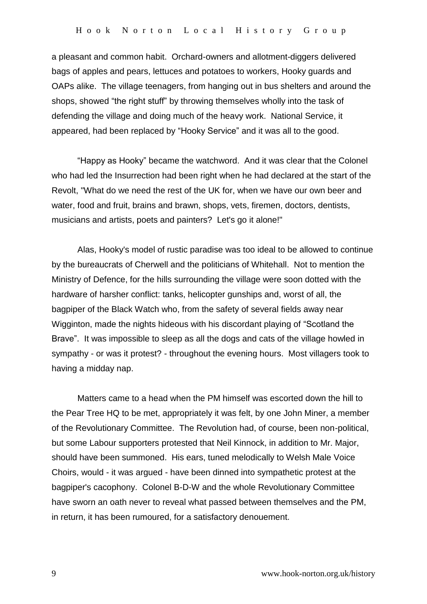a pleasant and common habit. Orchard-owners and allotment-diggers delivered bags of apples and pears, lettuces and potatoes to workers, Hooky guards and OAPs alike. The village teenagers, from hanging out in bus shelters and around the shops, showed "the right stuff" by throwing themselves wholly into the task of defending the village and doing much of the heavy work. National Service, it appeared, had been replaced by "Hooky Service" and it was all to the good.

"Happy as Hooky" became the watchword. And it was clear that the Colonel who had led the Insurrection had been right when he had declared at the start of the Revolt, "What do we need the rest of the UK for, when we have our own beer and water, food and fruit, brains and brawn, shops, vets, firemen, doctors, dentists, musicians and artists, poets and painters? Let's go it alone!"

Alas, Hooky's model of rustic paradise was too ideal to be allowed to continue by the bureaucrats of Cherwell and the politicians of Whitehall. Not to mention the Ministry of Defence, for the hills surrounding the village were soon dotted with the hardware of harsher conflict: tanks, helicopter gunships and, worst of all, the bagpiper of the Black Watch who, from the safety of several fields away near Wigginton, made the nights hideous with his discordant playing of "Scotland the Brave". It was impossible to sleep as all the dogs and cats of the village howled in sympathy - or was it protest? - throughout the evening hours. Most villagers took to having a midday nap.

Matters came to a head when the PM himself was escorted down the hill to the Pear Tree HQ to be met, appropriately it was felt, by one John Miner, a member of the Revolutionary Committee. The Revolution had, of course, been non-political, but some Labour supporters protested that Neil Kinnock, in addition to Mr. Major, should have been summoned. His ears, tuned melodically to Welsh Male Voice Choirs, would - it was argued - have been dinned into sympathetic protest at the bagpiper's cacophony. Colonel B-D-W and the whole Revolutionary Committee have sworn an oath never to reveal what passed between themselves and the PM, in return, it has been rumoured, for a satisfactory denouement.